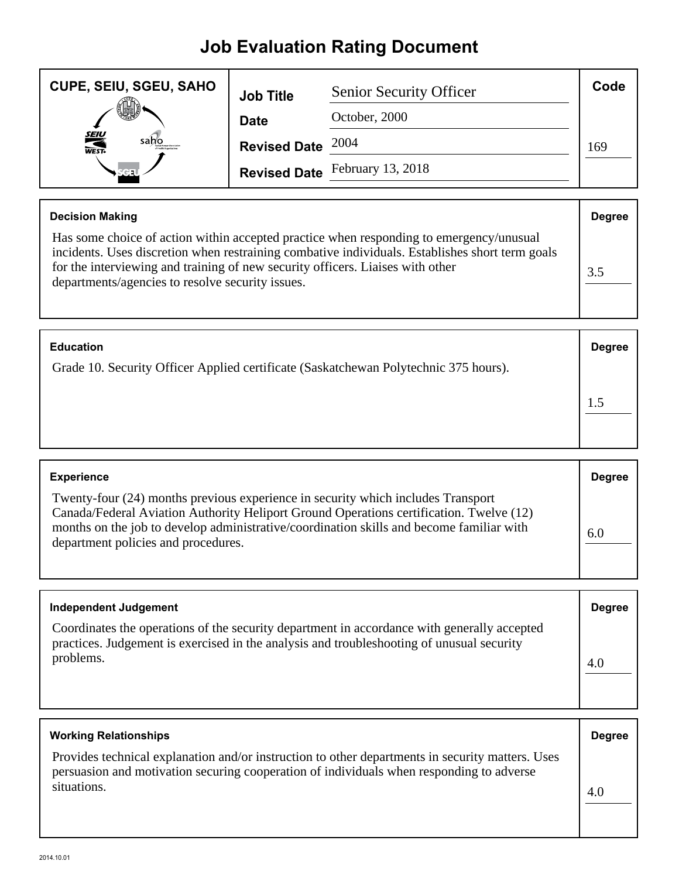## **Job Evaluation Rating Document**

| <b>CUPE, SEIU, SGEU, SAHO</b> | <b>Job Title</b>    | <b>Senior Security Officer</b> | Code |
|-------------------------------|---------------------|--------------------------------|------|
|                               | <b>Date</b>         | October, 2000                  |      |
| <b>SEIU</b><br>WEST-<br>sano  | Revised Date $2004$ |                                | 169  |
|                               |                     | Revised Date February 13, 2018 |      |

| <b>Decision Making</b>                                                                                                                                                                                                                                                                                                           | <b>Degree</b> |
|----------------------------------------------------------------------------------------------------------------------------------------------------------------------------------------------------------------------------------------------------------------------------------------------------------------------------------|---------------|
| Has some choice of action within accepted practice when responding to emergency/unusual<br>incidents. Uses discretion when restraining combative individuals. Establishes short term goals<br>for the interviewing and training of new security officers. Liaises with other<br>departments/agencies to resolve security issues. | 3.5           |

| <b>Education</b>                                                                     | <b>Degree</b> |
|--------------------------------------------------------------------------------------|---------------|
| Grade 10. Security Officer Applied certificate (Saskatchewan Polytechnic 375 hours). |               |
|                                                                                      |               |

| <b>Experience</b>                                                                                                                                                                                                                                                                                              | <b>Degree</b> |
|----------------------------------------------------------------------------------------------------------------------------------------------------------------------------------------------------------------------------------------------------------------------------------------------------------------|---------------|
| Twenty-four (24) months previous experience in security which includes Transport<br>Canada/Federal Aviation Authority Heliport Ground Operations certification. Twelve (12)<br>months on the job to develop administrative/coordination skills and become familiar with<br>department policies and procedures. | 6.0           |

| <b>Independent Judgement</b>                                                                                                                                                                          | <b>Degree</b> |
|-------------------------------------------------------------------------------------------------------------------------------------------------------------------------------------------------------|---------------|
| Coordinates the operations of the security department in accordance with generally accepted<br>practices. Judgement is exercised in the analysis and troubleshooting of unusual security<br>problems. | 4.0           |

| <b>Working Relationships</b>                                                                                                                                                                                | <b>Degree</b> |
|-------------------------------------------------------------------------------------------------------------------------------------------------------------------------------------------------------------|---------------|
| Provides technical explanation and/or instruction to other departments in security matters. Uses<br>persuasion and motivation securing cooperation of individuals when responding to adverse<br>situations. | 4.0           |
|                                                                                                                                                                                                             |               |